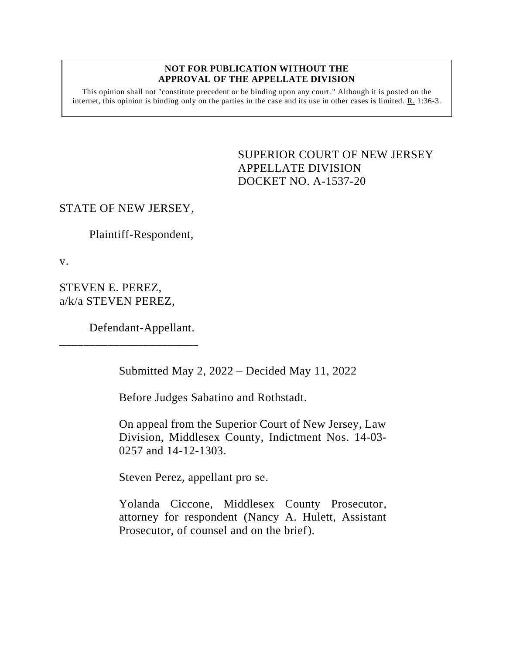## **NOT FOR PUBLICATION WITHOUT THE APPROVAL OF THE APPELLATE DIVISION**

This opinion shall not "constitute precedent or be binding upon any court." Although it is posted on the internet, this opinion is binding only on the parties in the case and its use in other cases is limited. R. 1:36-3.

> SUPERIOR COURT OF NEW JERSEY APPELLATE DIVISION DOCKET NO. A-1537-20

## STATE OF NEW JERSEY,

Plaintiff-Respondent,

v.

STEVEN E. PEREZ, a/k/a STEVEN PEREZ,

Defendant-Appellant.

\_\_\_\_\_\_\_\_\_\_\_\_\_\_\_\_\_\_\_\_\_\_\_

Submitted May 2, 2022 – Decided May 11, 2022

Before Judges Sabatino and Rothstadt.

On appeal from the Superior Court of New Jersey, Law Division, Middlesex County, Indictment Nos. 14-03- 0257 and 14-12-1303.

Steven Perez, appellant pro se.

Yolanda Ciccone, Middlesex County Prosecutor, attorney for respondent (Nancy A. Hulett, Assistant Prosecutor, of counsel and on the brief).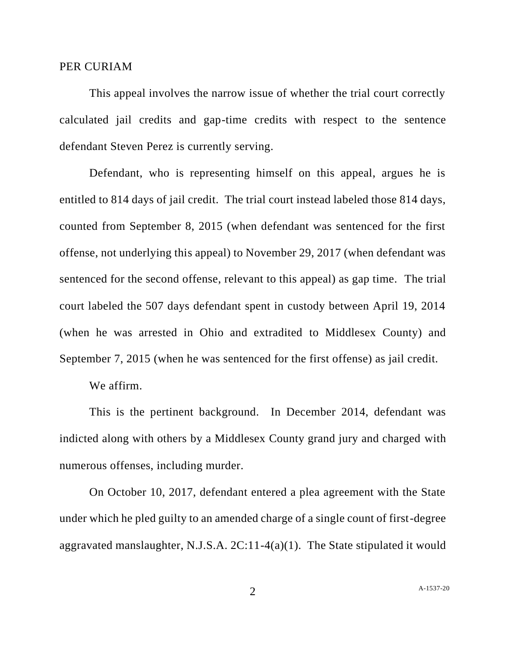## PER CURIAM

This appeal involves the narrow issue of whether the trial court correctly calculated jail credits and gap-time credits with respect to the sentence defendant Steven Perez is currently serving.

Defendant, who is representing himself on this appeal, argues he is entitled to 814 days of jail credit. The trial court instead labeled those 814 days, counted from September 8, 2015 (when defendant was sentenced for the first offense, not underlying this appeal) to November 29, 2017 (when defendant was sentenced for the second offense, relevant to this appeal) as gap time. The trial court labeled the 507 days defendant spent in custody between April 19, 2014 (when he was arrested in Ohio and extradited to Middlesex County) and September 7, 2015 (when he was sentenced for the first offense) as jail credit.

We affirm.

This is the pertinent background. In December 2014, defendant was indicted along with others by a Middlesex County grand jury and charged with numerous offenses, including murder.

On October 10, 2017, defendant entered a plea agreement with the State under which he pled guilty to an amended charge of a single count of first-degree aggravated manslaughter, N.J.S.A. 2C:11-4(a)(1). The State stipulated it would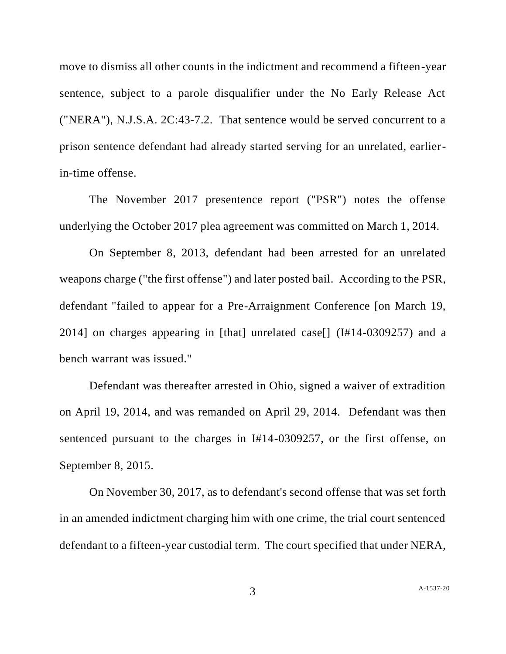move to dismiss all other counts in the indictment and recommend a fifteen-year sentence, subject to a parole disqualifier under the No Early Release Act ("NERA"), N.J.S.A. 2C:43-7.2. That sentence would be served concurrent to a prison sentence defendant had already started serving for an unrelated, earlierin-time offense.

The November 2017 presentence report ("PSR") notes the offense underlying the October 2017 plea agreement was committed on March 1, 2014.

On September 8, 2013, defendant had been arrested for an unrelated weapons charge ("the first offense") and later posted bail. According to the PSR, defendant "failed to appear for a Pre-Arraignment Conference [on March 19, 2014] on charges appearing in [that] unrelated case[] (I#14-0309257) and a bench warrant was issued."

Defendant was thereafter arrested in Ohio, signed a waiver of extradition on April 19, 2014, and was remanded on April 29, 2014. Defendant was then sentenced pursuant to the charges in I#14-0309257, or the first offense, on September 8, 2015.

On November 30, 2017, as to defendant's second offense that was set forth in an amended indictment charging him with one crime, the trial court sentenced defendant to a fifteen-year custodial term. The court specified that under NERA,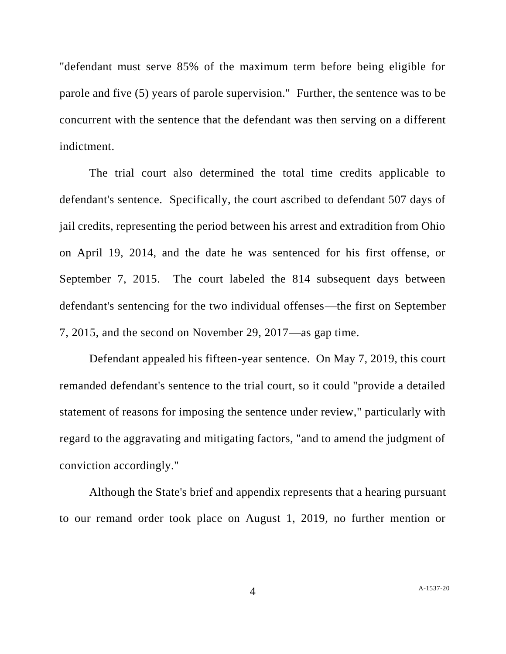"defendant must serve 85% of the maximum term before being eligible for parole and five (5) years of parole supervision." Further, the sentence was to be concurrent with the sentence that the defendant was then serving on a different indictment.

The trial court also determined the total time credits applicable to defendant's sentence. Specifically, the court ascribed to defendant 507 days of jail credits, representing the period between his arrest and extradition from Ohio on April 19, 2014, and the date he was sentenced for his first offense, or September 7, 2015. The court labeled the 814 subsequent days between defendant's sentencing for the two individual offenses—the first on September 7, 2015, and the second on November 29, 2017—as gap time.

Defendant appealed his fifteen-year sentence. On May 7, 2019, this court remanded defendant's sentence to the trial court, so it could "provide a detailed statement of reasons for imposing the sentence under review," particularly with regard to the aggravating and mitigating factors, "and to amend the judgment of conviction accordingly."

Although the State's brief and appendix represents that a hearing pursuant to our remand order took place on August 1, 2019, no further mention or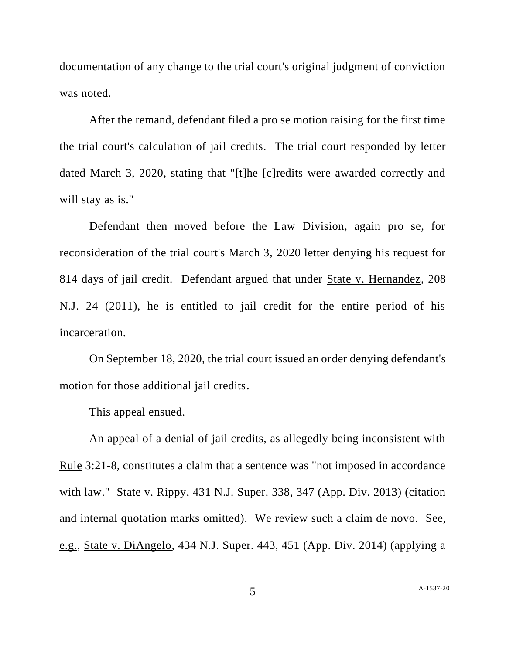documentation of any change to the trial court's original judgment of conviction was noted.

After the remand, defendant filed a pro se motion raising for the first time the trial court's calculation of jail credits. The trial court responded by letter dated March 3, 2020, stating that "[t]he [c]redits were awarded correctly and will stay as is."

Defendant then moved before the Law Division, again pro se, for reconsideration of the trial court's March 3, 2020 letter denying his request for 814 days of jail credit. Defendant argued that under State v. Hernandez, 208 N.J. 24 (2011), he is entitled to jail credit for the entire period of his incarceration.

On September 18, 2020, the trial court issued an order denying defendant's motion for those additional jail credits.

This appeal ensued.

An appeal of a denial of jail credits, as allegedly being inconsistent with Rule 3:21-8, constitutes a claim that a sentence was "not imposed in accordance with law." State v. Rippy, 431 N.J. Super. 338, 347 (App. Div. 2013) (citation and internal quotation marks omitted). We review such a claim de novo. See, e.g., State v. DiAngelo, 434 N.J. Super. 443, 451 (App. Div. 2014) (applying a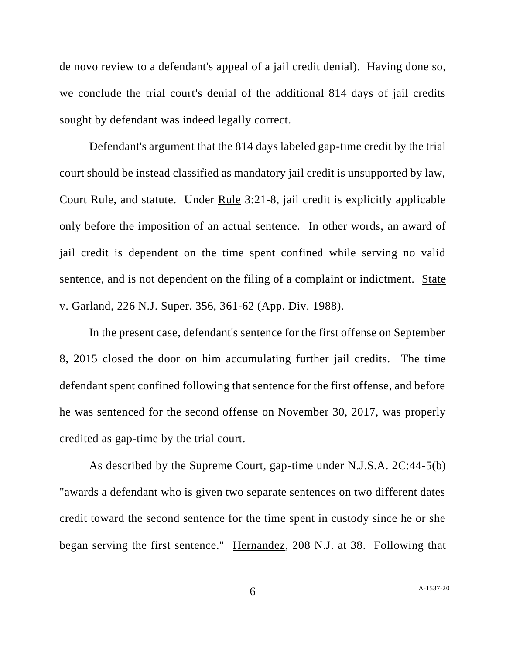de novo review to a defendant's appeal of a jail credit denial). Having done so, we conclude the trial court's denial of the additional 814 days of jail credits sought by defendant was indeed legally correct.

Defendant's argument that the 814 days labeled gap-time credit by the trial court should be instead classified as mandatory jail credit is unsupported by law, Court Rule, and statute. Under Rule 3:21-8, jail credit is explicitly applicable only before the imposition of an actual sentence. In other words, an award of jail credit is dependent on the time spent confined while serving no valid sentence, and is not dependent on the filing of a complaint or indictment. State v. Garland, 226 N.J. Super. 356, 361-62 (App. Div. 1988).

In the present case, defendant's sentence for the first offense on September 8, 2015 closed the door on him accumulating further jail credits. The time defendant spent confined following that sentence for the first offense, and before he was sentenced for the second offense on November 30, 2017, was properly credited as gap-time by the trial court.

As described by the Supreme Court, gap-time under N.J.S.A. 2C:44-5(b) "awards a defendant who is given two separate sentences on two different dates credit toward the second sentence for the time spent in custody since he or she began serving the first sentence." Hernandez, 208 N.J. at 38. Following that

6